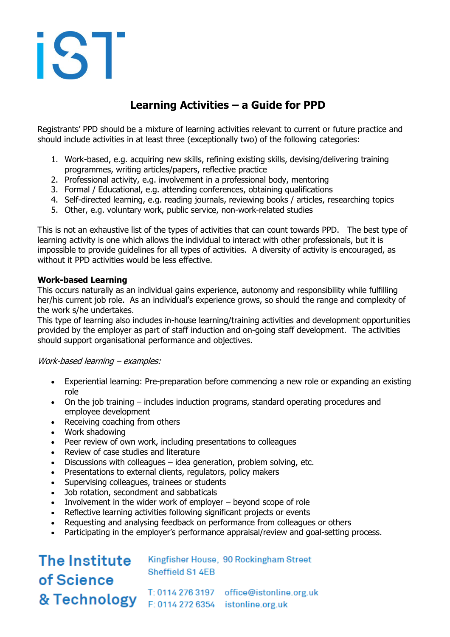# iST

### **Learning Activities – a Guide for PPD**

Registrants' PPD should be a mixture of learning activities relevant to current or future practice and should include activities in at least three (exceptionally two) of the following categories:

- 1. Work-based, e.g. acquiring new skills, refining existing skills, devising/delivering training programmes, writing articles/papers, reflective practice
- 2. Professional activity, e.g. involvement in a professional body, mentoring
- 3. Formal / Educational, e.g. attending conferences, obtaining qualifications
- 4. Self-directed learning, e.g. reading journals, reviewing books / articles, researching topics
- 5. Other, e.g. voluntary work, public service, non-work-related studies

This is not an exhaustive list of the types of activities that can count towards PPD. The best type of learning activity is one which allows the individual to interact with other professionals, but it is impossible to provide guidelines for all types of activities. A diversity of activity is encouraged, as without it PPD activities would be less effective.

#### **Work-based Learning**

This occurs naturally as an individual gains experience, autonomy and responsibility while fulfilling her/his current job role. As an individual's experience grows, so should the range and complexity of the work s/he undertakes.

This type of learning also includes in-house learning/training activities and development opportunities provided by the employer as part of staff induction and on-going staff development. The activities should support organisational performance and objectives.

Work-based learning – examples:

- Experiential learning: Pre-preparation before commencing a new role or expanding an existing role
- On the job training includes induction programs, standard operating procedures and employee development
- Receiving coaching from others
- Work shadowing
- Peer review of own work, including presentations to colleagues
- Review of case studies and literature
- Discussions with colleagues idea generation, problem solving, etc.
- Presentations to external clients, regulators, policy makers
- Supervising colleagues, trainees or students
- Job rotation, secondment and sabbaticals
- Involvement in the wider work of employer beyond scope of role
- Reflective learning activities following significant projects or events
- Requesting and analysing feedback on performance from colleagues or others
- Participating in the employer's performance appraisal/review and goal-setting process.

## The Institute of Science

Kingfisher House, 90 Rockingham Street Sheffield S1 4EB

T: 0114 276 3197 office@istonline.org.uk & Technology F: 0114 272 6354 istonline.org.uk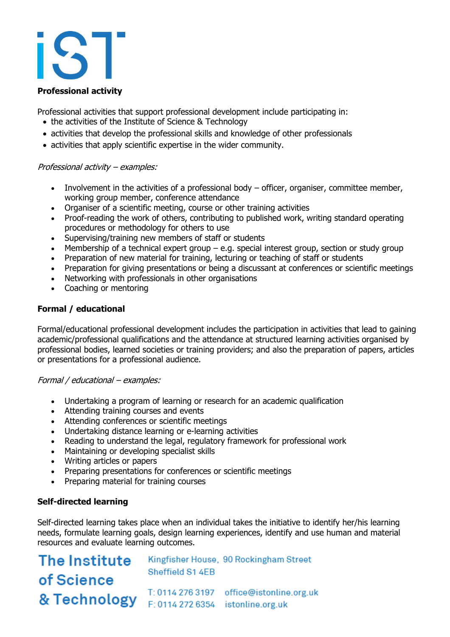#### **Professional activity**

Professional activities that support professional development include participating in:

- the activities of the Institute of Science & Technology
- activities that develop the professional skills and knowledge of other professionals
- activities that apply scientific expertise in the wider community.

#### Professional activity – examples:

- Involvement in the activities of a professional body officer, organiser, committee member, working group member, conference attendance
- Organiser of a scientific meeting, course or other training activities
- Proof-reading the work of others, contributing to published work, writing standard operating procedures or methodology for others to use
- Supervising/training new members of staff or students
- Membership of a technical expert group  $-$  e.g. special interest group, section or study group
- Preparation of new material for training, lecturing or teaching of staff or students
- Preparation for giving presentations or being a discussant at conferences or scientific meetings
- Networking with professionals in other organisations
- Coaching or mentoring

#### **Formal / educational**

Formal/educational professional development includes the participation in activities that lead to gaining academic/professional qualifications and the attendance at structured learning activities organised by professional bodies, learned societies or training providers; and also the preparation of papers, articles or presentations for a professional audience.

#### Formal / educational – examples:

- Undertaking a program of learning or research for an academic qualification
- Attending training courses and events
- Attending conferences or scientific meetings
- Undertaking distance learning or e-learning activities
- Reading to understand the legal, regulatory framework for professional work
- Maintaining or developing specialist skills
- Writing articles or papers
- Preparing presentations for conferences or scientific meetings
- Preparing material for training courses

#### **Self-directed learning**

Self-directed learning takes place when an individual takes the initiative to identify her/his learning needs, formulate learning goals, design learning experiences, identify and use human and material resources and evaluate learning outcomes.

## The Institute of Science

Kingfisher House, 90 Rockingham Street Sheffield S1 4EB

T: 0114 276 3197 office@istonline.org.uk 8 Technology F: 0114 272 6354 istonline.org.uk